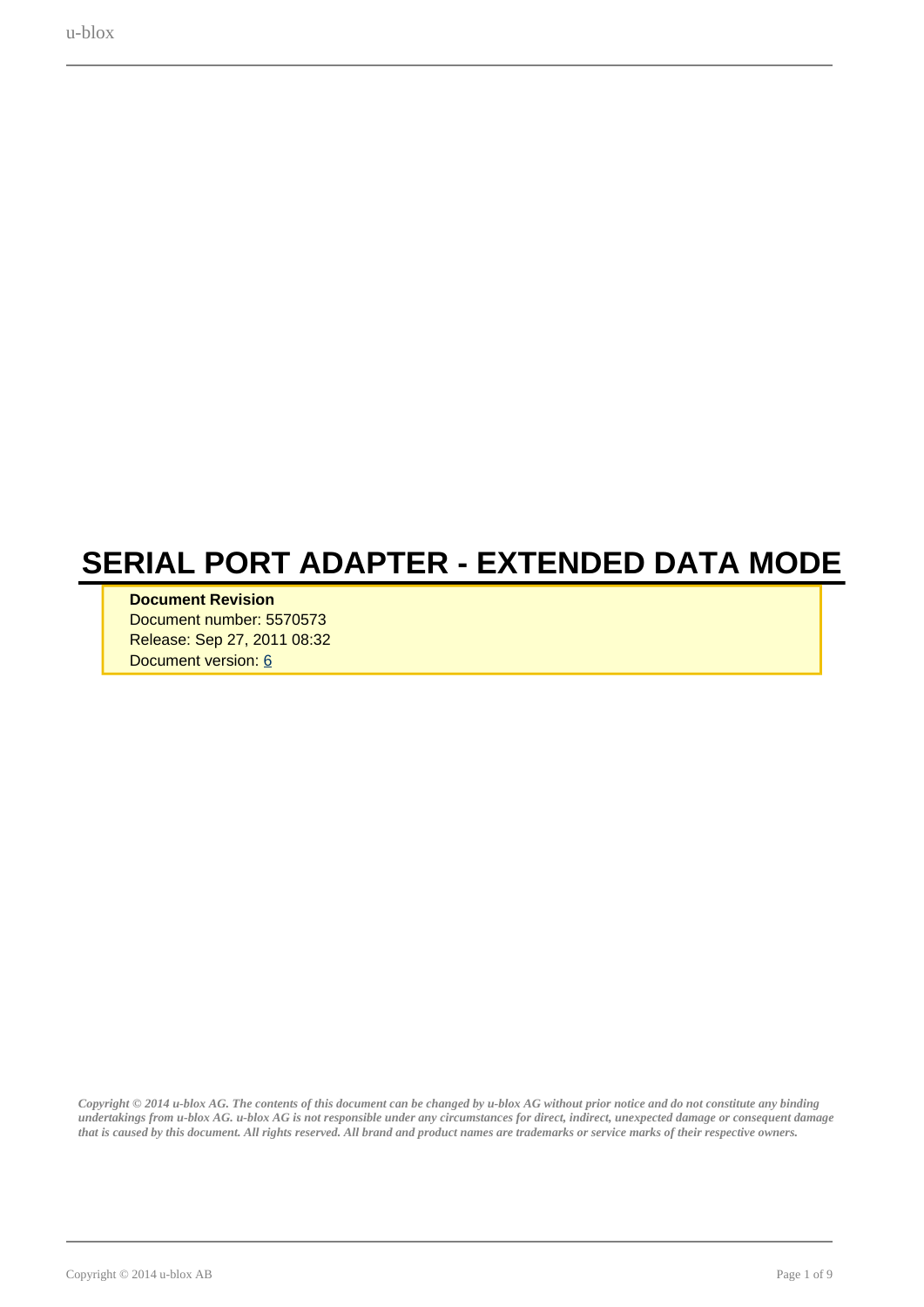<span id="page-0-0"></span>u-blox

# **SERIAL PORT ADAPTER - EXTENDED DATA MODE**

#### **Document Revision**

Document number: 5570573 Release: Sep 27, 2011 08:32 Document version: [6](#page-0-0)

*Copyright © 2014 u-blox AG. The contents of this document can be changed by u-blox AG without prior notice and do not constitute any binding undertakings from u-blox AG. u-blox AG is not responsible under any circumstances for direct, indirect, unexpected damage or consequent damage that is caused by this document. All rights reserved. All brand and product names are trademarks or service marks of their respective owners.*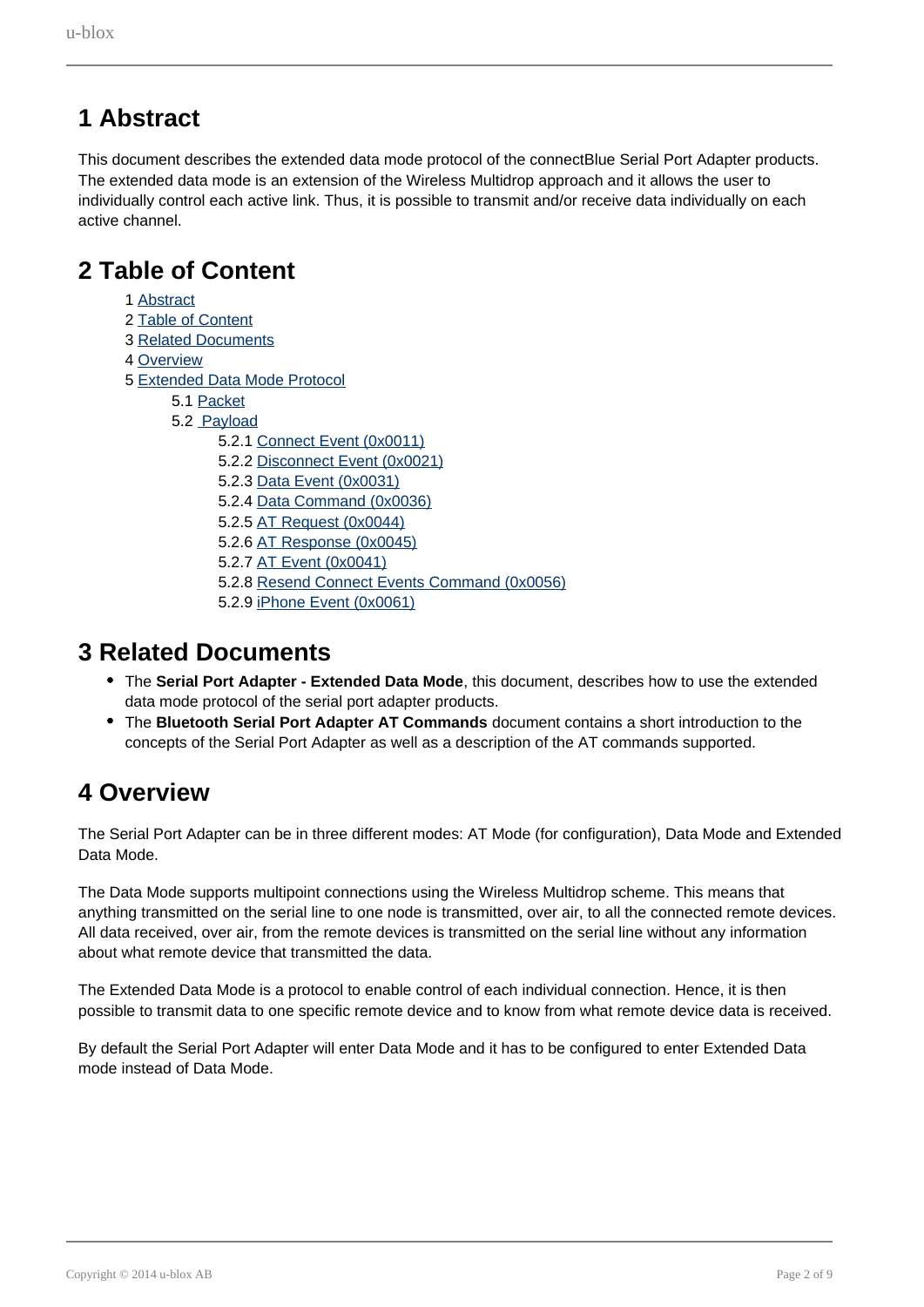# <span id="page-1-0"></span>**1 Abstract**

This document describes the extended data mode protocol of the connectBlue Serial Port Adapter products. The extended data mode is an extension of the Wireless Multidrop approach and it allows the user to individually control each active link. Thus, it is possible to transmit and/or receive data individually on each active channel.

# <span id="page-1-1"></span>**2 Table of Content**

- 1 [Abstract](#page-1-0)
- 2 [Table of Content](#page-1-1)
- 3 [Related Documents](#page-1-2)
- 4 [Overview](#page-1-3)
- 5 [Extended Data Mode Protocol](#page-2-0)
	- 5.1 [Packet](#page-2-1)
	- 5.2 [Payload](#page-3-0)
		- 5.2.1 [Connect Event \(0x0011\)](#page-4-0)
		- 5.2.2 [Disconnect Event \(0x0021\)](#page-5-0)
		- 5.2.3 [Data Event \(0x0031\)](#page-5-1)
		- 5.2.4 [Data Command \(0x0036\)](#page-6-0)
		- 5.2.5 [AT Request \(0x0044\)](#page-6-1)
		- 5.2.6 [AT Response \(0x0045\)](#page-7-0)
		- 5.2.7 [AT Event \(0x0041\)](#page-7-1)
		- 5.2.8 [Resend Connect Events Command \(0x0056\)](#page-7-2)
		- 5.2.9 [iPhone Event \(0x0061\)](#page-8-0)

# <span id="page-1-2"></span>**3 Related Documents**

- The **Serial Port Adapter Extended Data Mode**, this document, describes how to use the extended data mode protocol of the serial port adapter products.
- The **Bluetooth Serial Port Adapter AT Commands** document contains a short introduction to the concepts of the Serial Port Adapter as well as a description of the AT commands supported.

# <span id="page-1-3"></span>**4 Overview**

The Serial Port Adapter can be in three different modes: AT Mode (for configuration), Data Mode and Extended Data Mode.

The Data Mode supports multipoint connections using the Wireless Multidrop scheme. This means that anything transmitted on the serial line to one node is transmitted, over air, to all the connected remote devices. All data received, over air, from the remote devices is transmitted on the serial line without any information about what remote device that transmitted the data.

The Extended Data Mode is a protocol to enable control of each individual connection. Hence, it is then possible to transmit data to one specific remote device and to know from what remote device data is received.

By default the Serial Port Adapter will enter Data Mode and it has to be configured to enter Extended Data mode instead of Data Mode.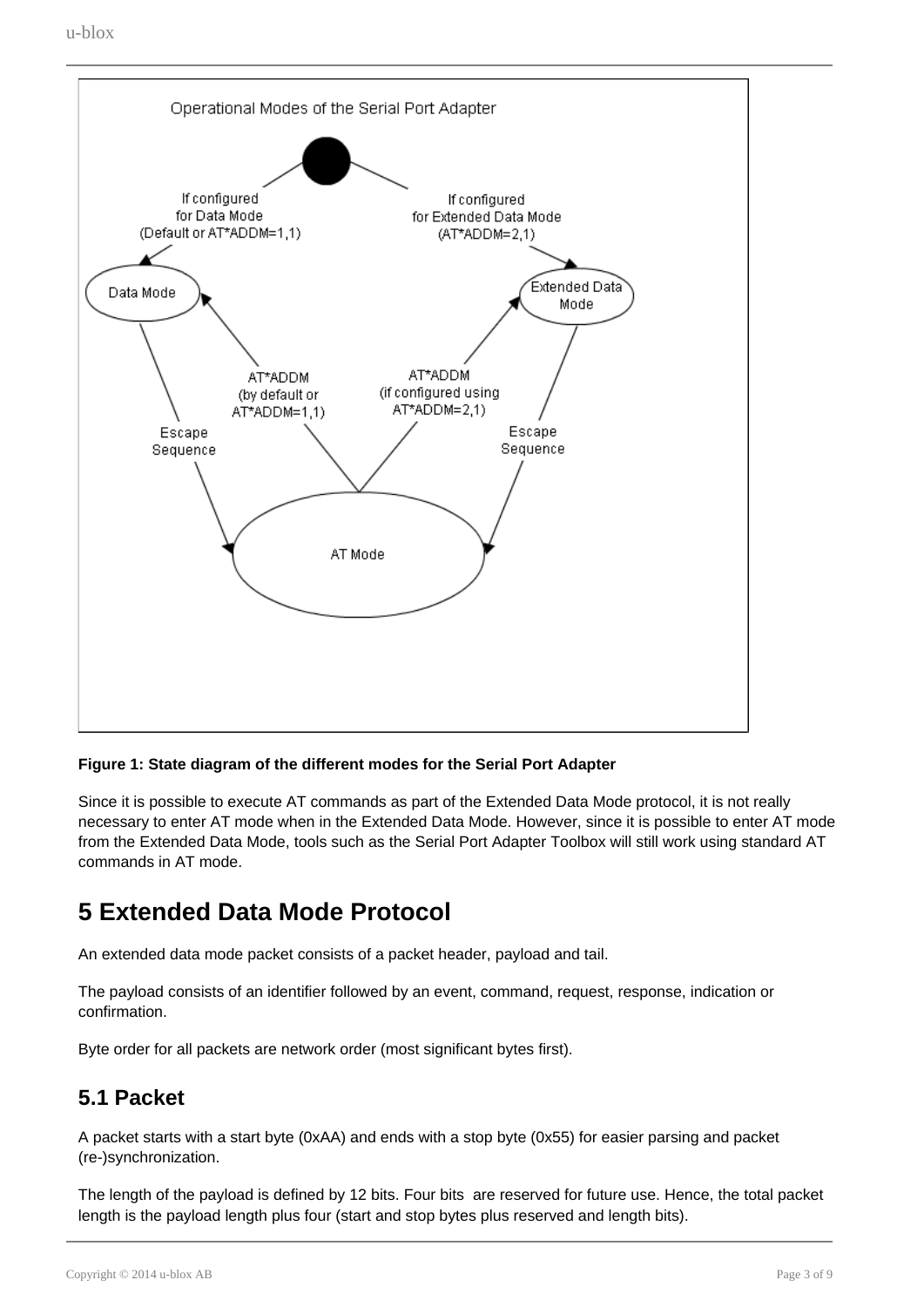

#### **Figure 1: State diagram of the different modes for the Serial Port Adapter**

Since it is possible to execute AT commands as part of the Extended Data Mode protocol, it is not really necessary to enter AT mode when in the Extended Data Mode. However, since it is possible to enter AT mode from the Extended Data Mode, tools such as the Serial Port Adapter Toolbox will still work using standard AT commands in AT mode.

# <span id="page-2-0"></span>**5 Extended Data Mode Protocol**

An extended data mode packet consists of a packet header, payload and tail.

The payload consists of an identifier followed by an event, command, request, response, indication or confirmation.

Byte order for all packets are network order (most significant bytes first).

# <span id="page-2-1"></span>**5.1 Packet**

A packet starts with a start byte (0xAA) and ends with a stop byte (0x55) for easier parsing and packet (re-)synchronization.

The length of the payload is defined by 12 bits. Four bits are reserved for future use. Hence, the total packet length is the payload length plus four (start and stop bytes plus reserved and length bits).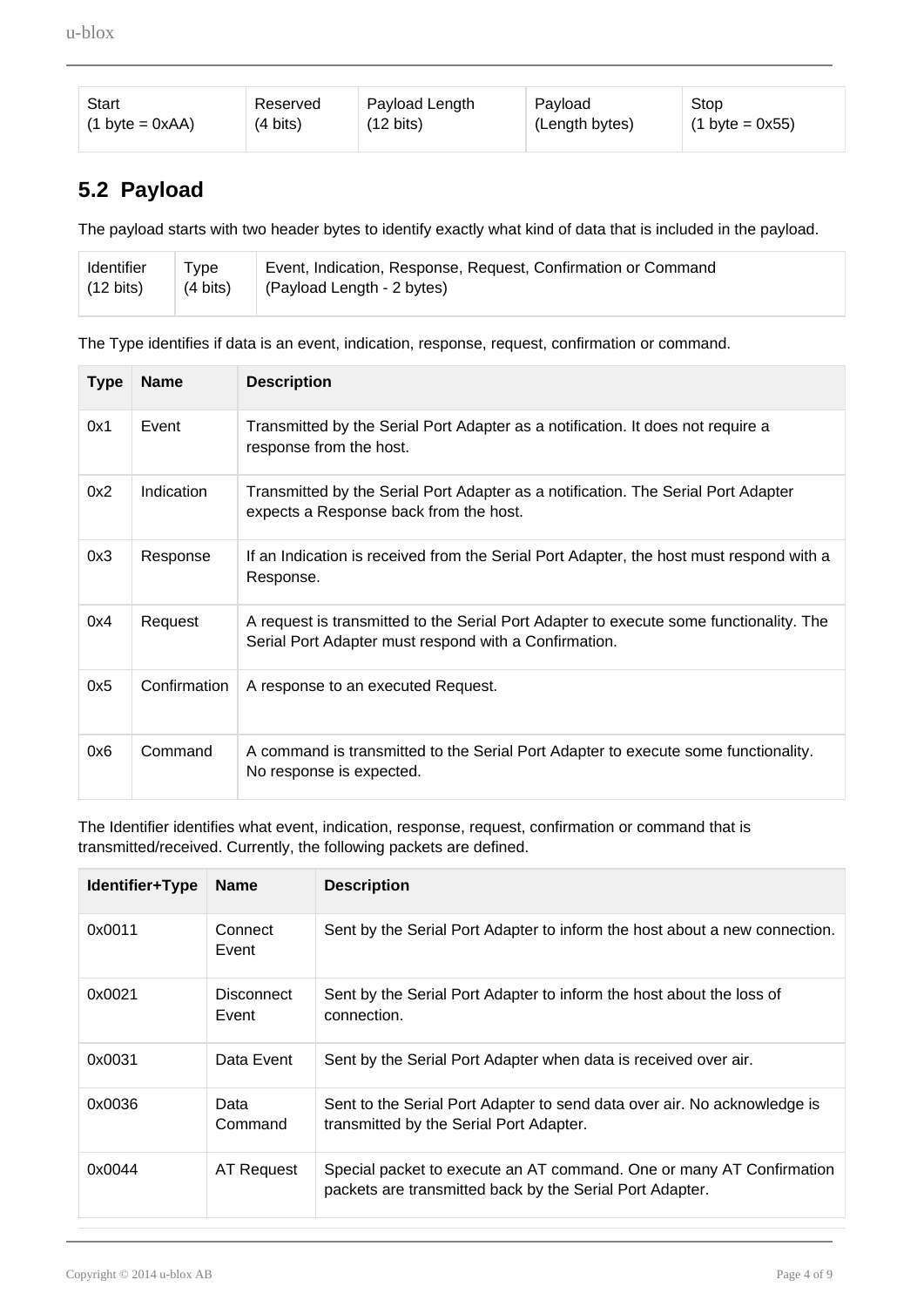| Start                              | Reserved           | Payload Length      | Payload        | Stop                      |
|------------------------------------|--------------------|---------------------|----------------|---------------------------|
| $(1 \text{ byte} = 0 \text{ xAA})$ | $(4 \text{ bits})$ | $(12 \text{ bits})$ | (Length bytes) | $(1 \text{ byte} = 0x55)$ |

# <span id="page-3-0"></span>**5.2 Payload**

The payload starts with two header bytes to identify exactly what kind of data that is included in the payload.

| Identifier          | Type     | Event, Indication, Response, Request, Confirmation or Command |
|---------------------|----------|---------------------------------------------------------------|
| $(12 \text{ bits})$ | (4 bits) | (Payload Length - 2 bytes)                                    |
|                     |          |                                                               |

The Type identifies if data is an event, indication, response, request, confirmation or command.

| <b>Type</b> | <b>Name</b>       | <b>Description</b>                                                                                                                              |
|-------------|-------------------|-------------------------------------------------------------------------------------------------------------------------------------------------|
| 0x1         | Event             | Transmitted by the Serial Port Adapter as a notification. It does not require a<br>response from the host.                                      |
| 0x2         | <b>Indication</b> | Transmitted by the Serial Port Adapter as a notification. The Serial Port Adapter<br>expects a Response back from the host.                     |
| 0x3         | Response          | If an Indication is received from the Serial Port Adapter, the host must respond with a<br>Response.                                            |
| 0x4         | Request           | A request is transmitted to the Serial Port Adapter to execute some functionality. The<br>Serial Port Adapter must respond with a Confirmation. |
| 0x5         | Confirmation      | A response to an executed Request.                                                                                                              |
| 0x6         | Command           | A command is transmitted to the Serial Port Adapter to execute some functionality.<br>No response is expected.                                  |

The Identifier identifies what event, indication, response, request, confirmation or command that is transmitted/received. Currently, the following packets are defined.

| Identifier+Type | <b>Name</b>                | <b>Description</b>                                                                                                               |
|-----------------|----------------------------|----------------------------------------------------------------------------------------------------------------------------------|
| 0x0011          | Connect<br>Event           | Sent by the Serial Port Adapter to inform the host about a new connection.                                                       |
| 0x0021          | <b>Disconnect</b><br>Event | Sent by the Serial Port Adapter to inform the host about the loss of<br>connection.                                              |
| 0x0031          | Data Event                 | Sent by the Serial Port Adapter when data is received over air.                                                                  |
| 0x0036          | Data<br>Command            | Sent to the Serial Port Adapter to send data over air. No acknowledge is<br>transmitted by the Serial Port Adapter.              |
| 0x0044          | AT Request                 | Special packet to execute an AT command. One or many AT Confirmation<br>packets are transmitted back by the Serial Port Adapter. |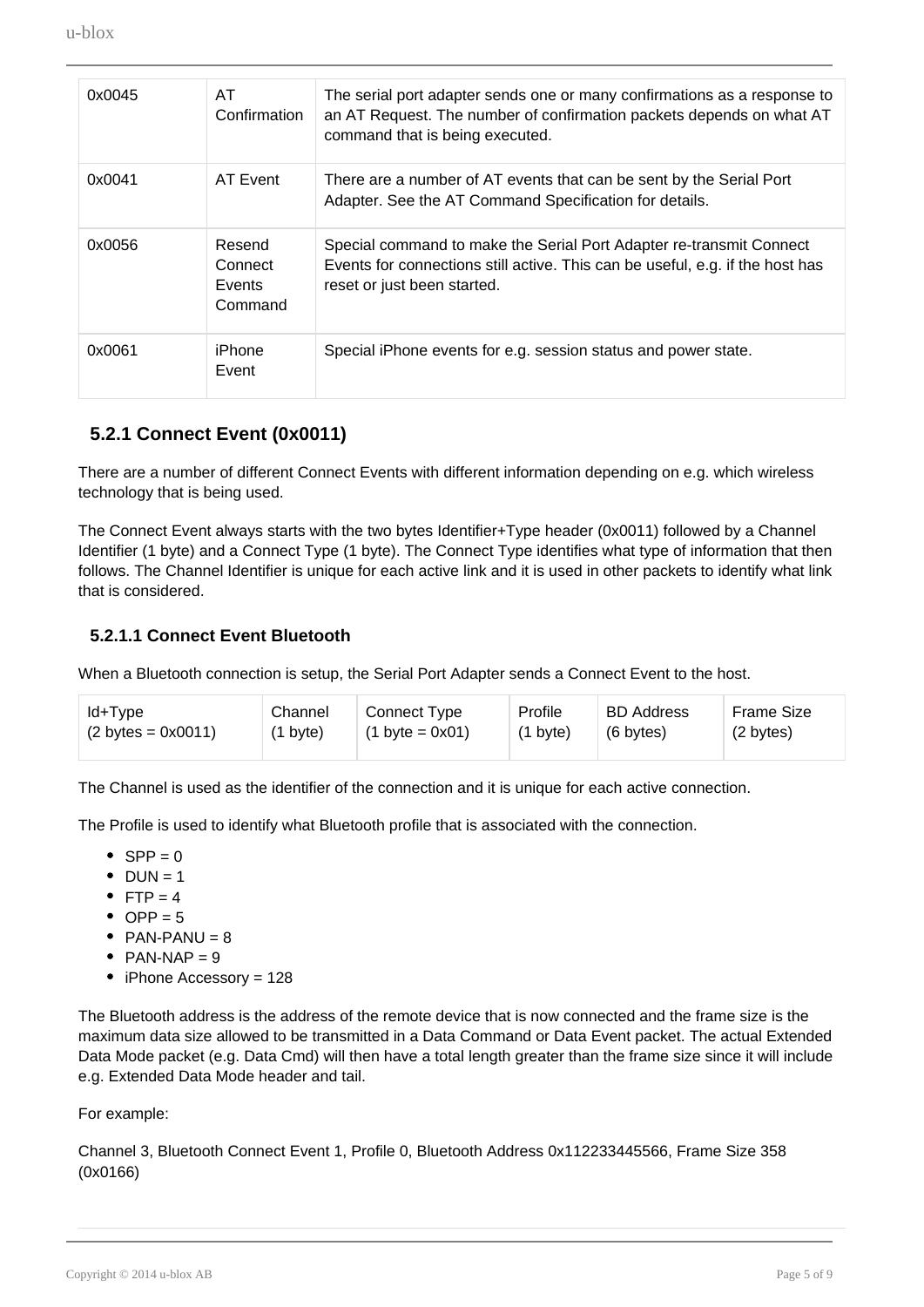| 0x0045 | AT.<br>Confirmation                           | The serial port adapter sends one or many confirmations as a response to<br>an AT Request. The number of confirmation packets depends on what AT<br>command that is being executed. |
|--------|-----------------------------------------------|-------------------------------------------------------------------------------------------------------------------------------------------------------------------------------------|
| 0x0041 | AT Event                                      | There are a number of AT events that can be sent by the Serial Port<br>Adapter. See the AT Command Specification for details.                                                       |
| 0x0056 | Resend<br>Connect<br><b>Events</b><br>Command | Special command to make the Serial Port Adapter re-transmit Connect<br>Events for connections still active. This can be useful, e.g. if the host has<br>reset or just been started. |
| 0x0061 | iPhone<br>Event                               | Special iPhone events for e.g. session status and power state.                                                                                                                      |

### **5.2.1 Connect Event (0x0011)**

<span id="page-4-0"></span>There are a number of different Connect Events with different information depending on e.g. which wireless technology that is being used.

The Connect Event always starts with the two bytes Identifier+Type header (0x0011) followed by a Channel Identifier (1 byte) and a Connect Type (1 byte). The Connect Type identifies what type of information that then follows. The Channel Identifier is unique for each active link and it is used in other packets to identify what link that is considered.

#### **5.2.1.1 Connect Event Bluetooth**

When a Bluetooth connection is setup, the Serial Port Adapter sends a Connect Event to the host.

| ld+Type                             | Channel            | <b>Connect Type</b>              | Profile            | <b>BD</b> Address | <b>Frame Size</b> |
|-------------------------------------|--------------------|----------------------------------|--------------------|-------------------|-------------------|
| $(2 \text{ bytes} = 0 \times 0011)$ | $(1 \text{ byte})$ | $(1 \text{ byte} = 0 \times 01)$ | $(1 \text{ byte})$ | (6 bytes)         | (2 bytes)         |
|                                     |                    |                                  |                    |                   |                   |

The Channel is used as the identifier of the connection and it is unique for each active connection.

The Profile is used to identify what Bluetooth profile that is associated with the connection.

- $\bullet$  SPP = 0
- $\bullet$  DUN = 1
- FTP =  $4$
- $\bullet$  OPP = 5
- $PAN-PANU = 8$
- PAN-NAP  $= 9$
- iPhone Accessory = 128

The Bluetooth address is the address of the remote device that is now connected and the frame size is the maximum data size allowed to be transmitted in a Data Command or Data Event packet. The actual Extended Data Mode packet (e.g. Data Cmd) will then have a total length greater than the frame size since it will include e.g. Extended Data Mode header and tail.

#### For example:

Channel 3, Bluetooth Connect Event 1, Profile 0, Bluetooth Address 0x112233445566, Frame Size 358 (0x0166)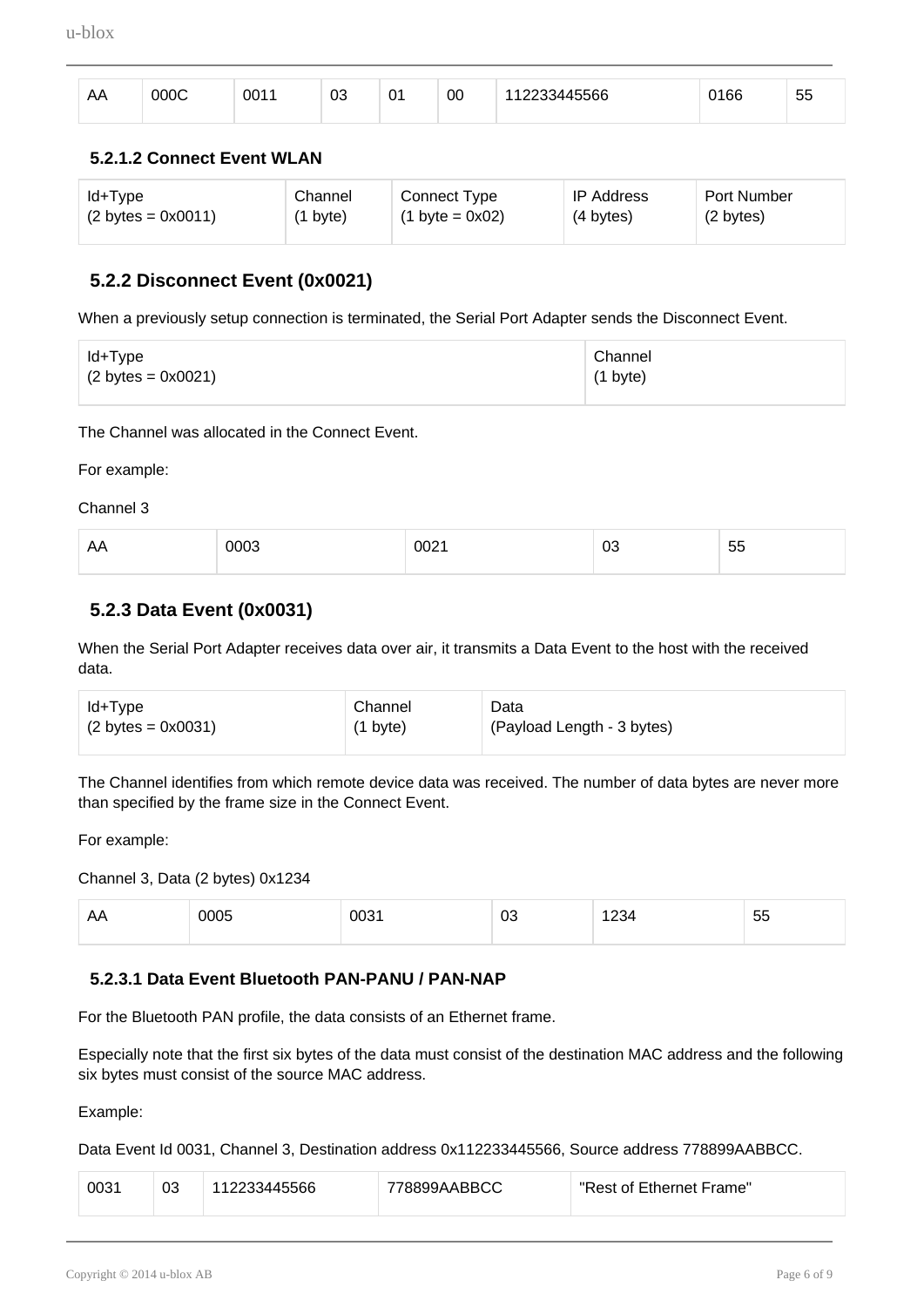| $\mathbf{v}$<br>nn | ാററ | 001 | ne,<br>və | ັ | 00 | 45566 | 100<br>l bb | --<br>ູບປ |
|--------------------|-----|-----|-----------|---|----|-------|-------------|-----------|
|                    |     |     |           |   |    |       |             |           |

#### **5.2.1.2 Connect Event WLAN**

| ld+Type                             | Channel            | Connect Type                     | <b>IP Address</b> | Port Number |
|-------------------------------------|--------------------|----------------------------------|-------------------|-------------|
| $(2 \text{ bytes} = 0 \times 0011)$ | $(1 \text{ byte})$ | $(1 \text{ byte} = 0 \times 02)$ | (4 bytes)         | (2 bytes)   |

#### **5.2.2 Disconnect Event (0x0021)**

<span id="page-5-0"></span>When a previously setup connection is terminated, the Serial Port Adapter sends the Disconnect Event.

| ld+Type                             | Channel            |
|-------------------------------------|--------------------|
| $(2 \text{ bytes} = 0 \times 0021)$ | $(1 \text{ byte})$ |
|                                     |                    |

The Channel was allocated in the Connect Event.

For example:

Channel 3

| AΑ<br>-- | $  -$<br>710 | ----<br>0021 | UJ | --<br><br>ັບ |
|----------|--------------|--------------|----|--------------|
|          |              |              |    |              |

### **5.2.3 Data Event (0x0031)**

<span id="page-5-1"></span>When the Serial Port Adapter receives data over air, it transmits a Data Event to the host with the received data.

| ld+Type                             | Channel            | Data                       |
|-------------------------------------|--------------------|----------------------------|
| $(2 \text{ bytes} = 0 \times 0031)$ | $(1 \text{ byte})$ | (Payload Length - 3 bytes) |

The Channel identifies from which remote device data was received. The number of data bytes are never more than specified by the frame size in the Connect Event.

For example:

Channel 3, Data (2 bytes) 0x1234

| $\sim$ $\sim$ $\sim$ | $\cdots$<br>- - - - | $\sim$ $\sim$ | UJ<br>$-$ | $   \cdot$ | --<br>∽<br>ັບ |
|----------------------|---------------------|---------------|-----------|------------|---------------|
|                      |                     |               |           |            |               |

#### **5.2.3.1 Data Event Bluetooth PAN-PANU / PAN-NAP**

For the Bluetooth PAN profile, the data consists of an Ethernet frame.

Especially note that the first six bytes of the data must consist of the destination MAC address and the following six bytes must consist of the source MAC address.

Example:

Data Event Id 0031, Channel 3, Destination address 0x112233445566, Source address 778899AABBCC.

| 0031 | 03 | 112233445566 | 778899AABBCC | "Rest of Ethernet Frame" |
|------|----|--------------|--------------|--------------------------|
|------|----|--------------|--------------|--------------------------|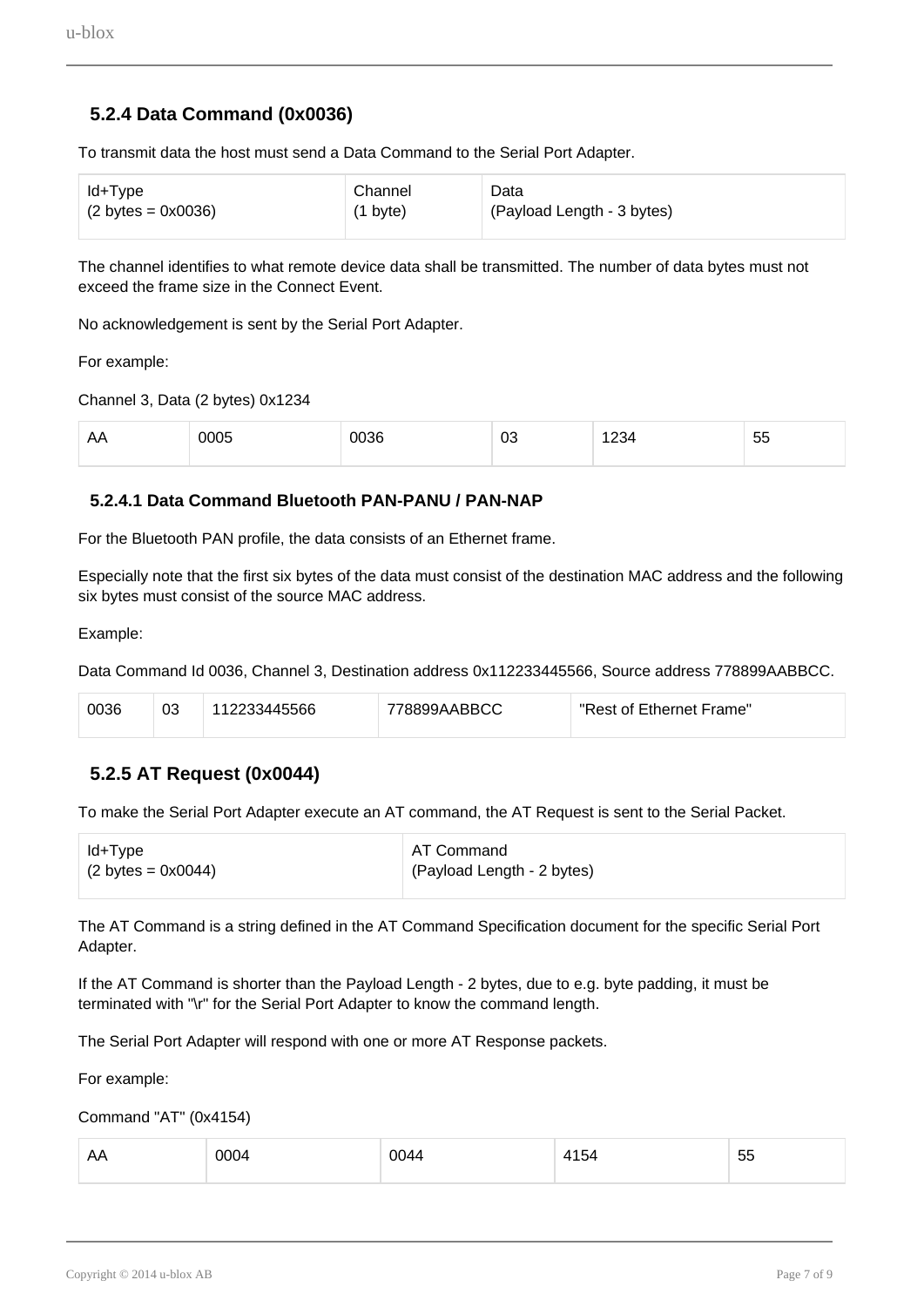# **5.2.4 Data Command (0x0036)**

<span id="page-6-0"></span>To transmit data the host must send a Data Command to the Serial Port Adapter.

| ld+Type                             | Channel            | Data                       |
|-------------------------------------|--------------------|----------------------------|
| $(2 \text{ bytes} = 0 \times 0036)$ | $(1 \text{ byte})$ | (Payload Length - 3 bytes) |

The channel identifies to what remote device data shall be transmitted. The number of data bytes must not exceed the frame size in the Connect Event.

No acknowledgement is sent by the Serial Port Adapter.

For example:

Channel 3, Data (2 bytes) 0x1234

| $\cdots$ | $\sim$ 000 $\sim$<br>. | ገበ36<br>. | nr<br>νv | $   -$ | $ -$<br>. .<br>ັບປ |
|----------|------------------------|-----------|----------|--------|--------------------|
|          |                        |           |          |        |                    |

#### **5.2.4.1 Data Command Bluetooth PAN-PANU / PAN-NAP**

For the Bluetooth PAN profile, the data consists of an Ethernet frame.

Especially note that the first six bytes of the data must consist of the destination MAC address and the following six bytes must consist of the source MAC address.

Example:

Data Command Id 0036, Channel 3, Destination address 0x112233445566, Source address 778899AABBCC.

| 0036 | 03 | 3445566<br>៲∠∠∪J− | 778899AABBCC | "Rest of Ethernet Frame" |
|------|----|-------------------|--------------|--------------------------|
|------|----|-------------------|--------------|--------------------------|

### **5.2.5 AT Request (0x0044)**

<span id="page-6-1"></span>To make the Serial Port Adapter execute an AT command, the AT Request is sent to the Serial Packet.

| ∣ Id+Type                           | AT Command                 |
|-------------------------------------|----------------------------|
| $(2 \text{ bytes} = 0 \times 0044)$ | (Payload Length - 2 bytes) |

The AT Command is a string defined in the AT Command Specification document for the specific Serial Port Adapter.

If the AT Command is shorter than the Payload Length - 2 bytes, due to e.g. byte padding, it must be terminated with "\r" for the Serial Port Adapter to know the command length.

The Serial Port Adapter will respond with one or more AT Response packets.

For example:

Command "AT" (0x4154)

| AA | 0004 | 0044<br>$ -$ | 4154 | 55 |
|----|------|--------------|------|----|
|    |      |              |      |    |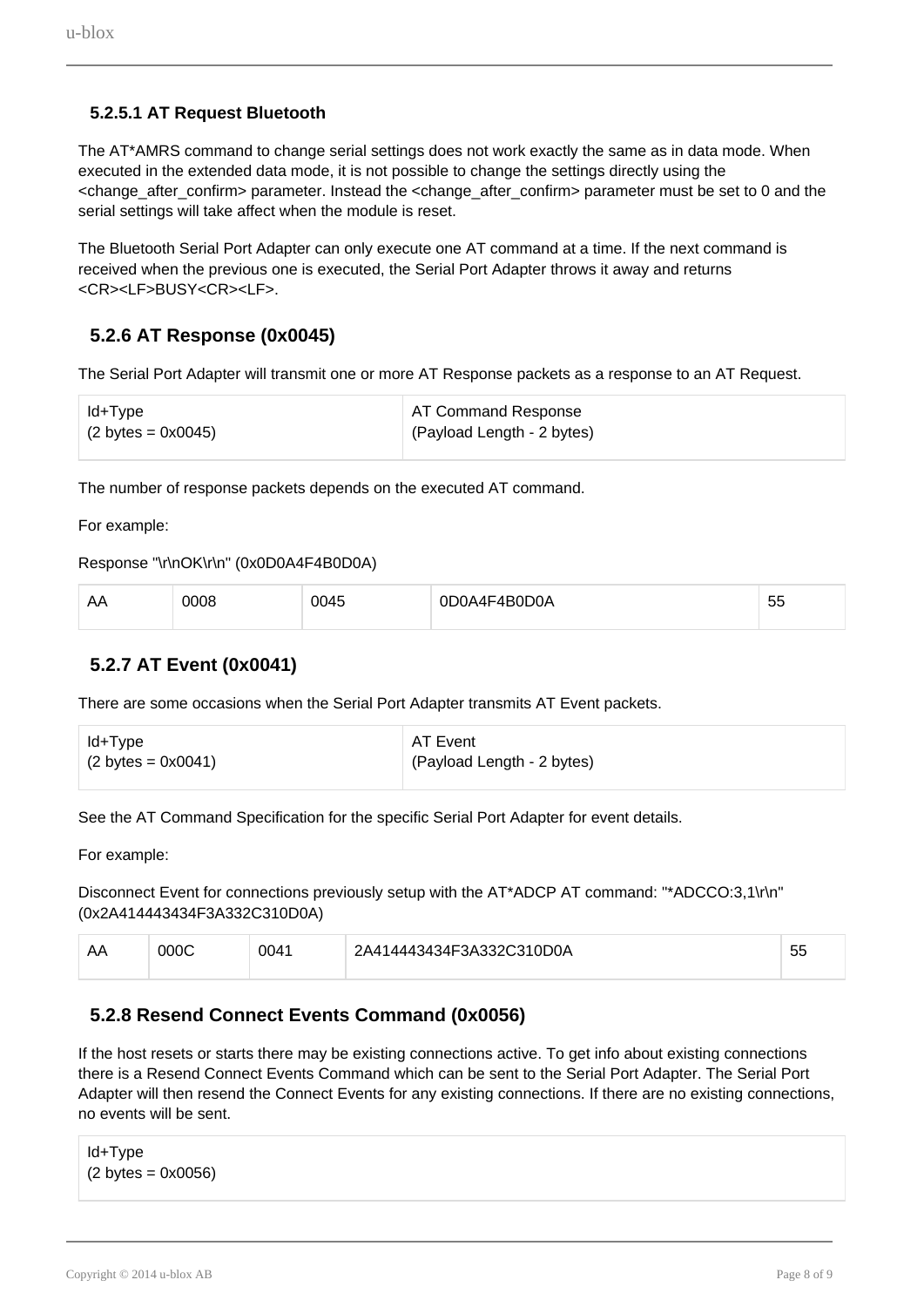### **5.2.5.1 AT Request Bluetooth**

The AT\*AMRS command to change serial settings does not work exactly the same as in data mode. When executed in the extended data mode, it is not possible to change the settings directly using the <change\_after\_confirm> parameter. Instead the <change\_after\_confirm> parameter must be set to 0 and the serial settings will take affect when the module is reset.

The Bluetooth Serial Port Adapter can only execute one AT command at a time. If the next command is received when the previous one is executed, the Serial Port Adapter throws it away and returns <CR><LF>BUSY<CR><LF>.

# **5.2.6 AT Response (0x0045)**

<span id="page-7-0"></span>The Serial Port Adapter will transmit one or more AT Response packets as a response to an AT Request.

| ld+Type                             | AT Command Response        |
|-------------------------------------|----------------------------|
| $(2 \text{ bytes} = 0 \times 0045)$ | (Payload Length - 2 bytes) |

The number of response packets depends on the executed AT command.

For example:

```
Response "\r\nOK\r\n" (0x0D0A4F4B0D0A)
```

| AA | nos | $\overline{ }$<br>ി∩⊿⊷<br>™ | м<br>___<br>$\sim$ | $- -$<br>$\sim$<br>w |
|----|-----|-----------------------------|--------------------|----------------------|
|----|-----|-----------------------------|--------------------|----------------------|

### **5.2.7 AT Event (0x0041)**

<span id="page-7-1"></span>There are some occasions when the Serial Port Adapter transmits AT Event packets.

| ld+Type                             | AT Event                   |
|-------------------------------------|----------------------------|
| $(2 \text{ bytes} = 0 \times 0041)$ | (Payload Length - 2 bytes) |

See the AT Command Specification for the specific Serial Port Adapter for event details.

For example:

Disconnect Event for connections previously setup with the AT\*ADCP AT command: "\*ADCCO:3,1\r\n" (0x2A414443434F3A332C310D0A)

| $\mathbf{r}$ | იიიი | 0041 | 2A414443434F3A332C310D0A | - -<br>ັ |
|--------------|------|------|--------------------------|----------|
|              |      |      |                          |          |

### **5.2.8 Resend Connect Events Command (0x0056)**

<span id="page-7-2"></span>If the host resets or starts there may be existing connections active. To get info about existing connections there is a Resend Connect Events Command which can be sent to the Serial Port Adapter. The Serial Port Adapter will then resend the Connect Events for any existing connections. If there are no existing connections, no events will be sent.

```
Id+Type 
(2 \text{ bytes} = 0 \times 0056)
```